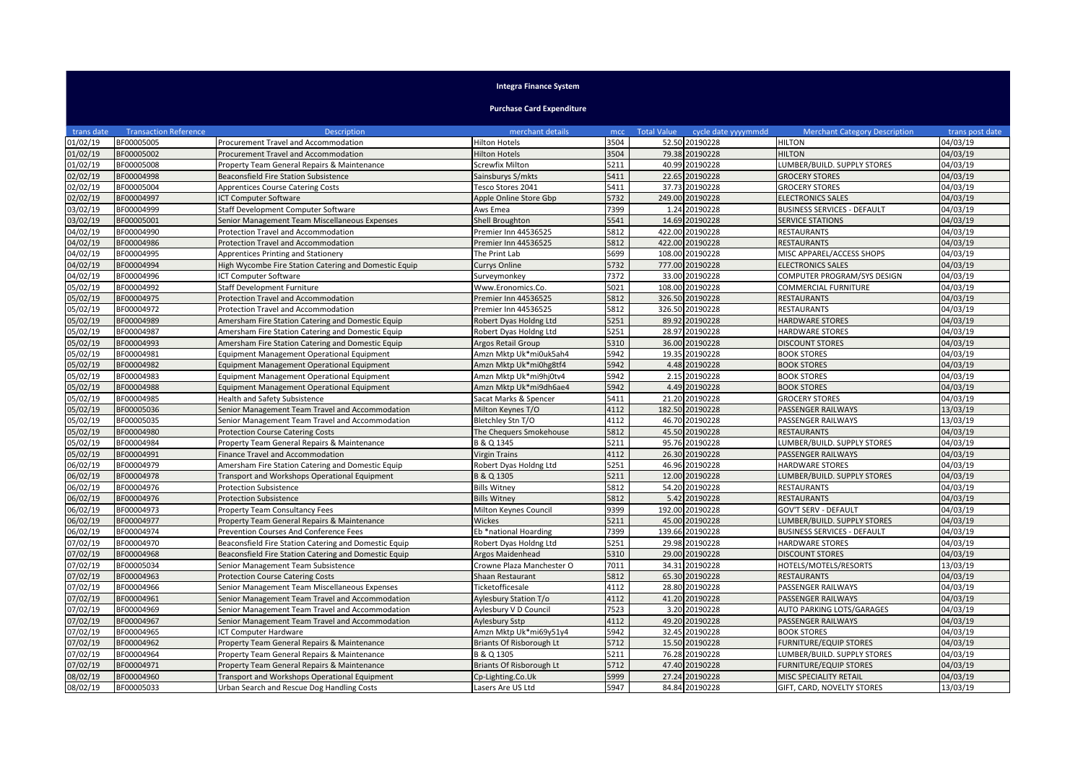## **Integra Finance System**

**Purchase Card Expenditure**

| trans date | <b>Transaction Reference</b> | <b>Description</b>                                    | merchant details          | mcc  | <b>Total Value</b><br>cycle date yyyymmdd | <b>Merchant Category Description</b> | trans post date |
|------------|------------------------------|-------------------------------------------------------|---------------------------|------|-------------------------------------------|--------------------------------------|-----------------|
| 01/02/19   | BF00005005                   | Procurement Travel and Accommodation                  | <b>Hilton Hotels</b>      | 3504 | 52.50 20190228                            | <b>HILTON</b>                        | 04/03/19        |
| 01/02/19   | BF00005002                   | Procurement Travel and Accommodation                  | <b>Hilton Hotels</b>      | 3504 | 79.38 20190228                            | <b>HILTON</b>                        | 04/03/19        |
| 01/02/19   | BF00005008                   | Property Team General Repairs & Maintenance           | Screwfix Milton           | 5211 | 40.99 20190228                            | LUMBER/BUILD. SUPPLY STORES          | 04/03/19        |
| 02/02/19   | BF00004998                   | Beaconsfield Fire Station Subsistence                 | Sainsburys S/mkts         | 5411 | 22.65 20190228                            | <b>GROCERY STORES</b>                | 04/03/19        |
| 02/02/19   | BF00005004                   | <b>Apprentices Course Catering Costs</b>              | Tesco Stores 2041         | 5411 | 37.73 20190228                            | <b>GROCERY STORES</b>                | 04/03/19        |
| 02/02/19   | BF00004997                   | <b>ICT Computer Software</b>                          | Apple Online Store Gbp    | 5732 | 249.00 20190228                           | <b>ELECTRONICS SALES</b>             | 04/03/19        |
| 03/02/19   | BF00004999                   | Staff Development Computer Software                   | Aws Emea                  | 7399 | 1.24 20190228                             | BUSINESS SERVICES - DEFAULT          | 04/03/19        |
| 03/02/19   | BF00005001                   | Senior Management Team Miscellaneous Expenses         | Shell Broughton           | 5541 | 14.69 20190228                            | <b>SERVICE STATIONS</b>              | 04/03/19        |
| 04/02/19   | BF00004990                   | Protection Travel and Accommodation                   | Premier Inn 44536525      | 5812 | 422.00 20190228                           | <b>RESTAURANTS</b>                   | 04/03/19        |
| 04/02/19   | BF00004986                   | <b>Protection Travel and Accommodation</b>            | Premier Inn 44536525      | 5812 | 422.00<br>20190228                        | <b>RESTAURANTS</b>                   | 04/03/19        |
| 04/02/19   | BF00004995                   | <b>Apprentices Printing and Stationery</b>            | The Print Lab             | 5699 | 20190228<br>108.00                        | MISC APPAREL/ACCESS SHOPS            | 04/03/19        |
| 04/02/19   | BF00004994                   | High Wycombe Fire Station Catering and Domestic Equip | <b>Currys Online</b>      | 5732 | 777.00<br>20190228                        | <b>ELECTRONICS SALES</b>             | 04/03/19        |
| 04/02/19   | BF00004996                   | ICT Computer Software                                 | Surveymonkey              | 7372 | 33.00<br>20190228                         | COMPUTER PROGRAM/SYS DESIGN          | 04/03/19        |
| 05/02/19   | BF00004992                   | Staff Development Furniture                           | Www.Eronomics.Co.         | 5021 | 108.00<br>20190228                        | <b>COMMERCIAL FURNITURE</b>          | 04/03/19        |
| 05/02/19   | BF00004975                   | Protection Travel and Accommodation                   | Premier Inn 44536525      | 5812 | 326.50<br>20190228                        | <b>RESTAURANTS</b>                   | 04/03/19        |
| 05/02/19   | BF00004972                   | Protection Travel and Accommodation                   | Premier Inn 44536525      | 5812 | 326.50 20190228                           | <b>RESTAURANTS</b>                   | 04/03/19        |
| 05/02/19   | BF00004989                   | Amersham Fire Station Catering and Domestic Equip     | Robert Dyas Holdng Ltd    | 5251 | 89.92 20190228                            | <b>HARDWARE STORES</b>               | 04/03/19        |
| 05/02/19   | BF00004987                   | Amersham Fire Station Catering and Domestic Equip     | Robert Dyas Holdng Ltd    | 5251 | 28.97 20190228                            | <b>HARDWARE STORES</b>               | 04/03/19        |
| 05/02/19   | BF00004993                   | Amersham Fire Station Catering and Domestic Equip     | <b>Argos Retail Group</b> | 5310 | 36.00 20190228                            | <b>DISCOUNT STORES</b>               | 04/03/19        |
| 05/02/19   | BF00004981                   | Equipment Management Operational Equipment            | Amzn Mktp Uk*mi0uk5ah4    | 5942 | 19.35<br>20190228                         | <b>BOOK STORES</b>                   | 04/03/19        |
| 05/02/19   | BF00004982                   | Equipment Management Operational Equipment            | Amzn Mktp Uk*mi0hg8tf4    | 5942 | 4.48 20190228                             | <b>BOOK STORES</b>                   | 04/03/19        |
| 05/02/19   | BF00004983                   | Equipment Management Operational Equipment            | Amzn Mktp Uk*mi9hj0tv4    | 5942 | 2.15<br>20190228                          | <b>BOOK STORES</b>                   | 04/03/19        |
| 05/02/19   | BF00004988                   | Equipment Management Operational Equipment            | Amzn Mktp Uk*mi9dh6ae4    | 5942 | 4.49 20190228                             | <b>BOOK STORES</b>                   | 04/03/19        |
| 05/02/19   | BF00004985                   | <b>Health and Safety Subsistence</b>                  | Sacat Marks & Spencer     | 5411 | 21.20 20190228                            | <b>GROCERY STORES</b>                | 04/03/19        |
| 05/02/19   | BF00005036                   | Senior Management Team Travel and Accommodation       | Milton Keynes T/O         | 4112 | 182.50<br>20190228                        | <b>PASSENGER RAILWAYS</b>            | 13/03/19        |
| 05/02/19   | BF00005035                   | Senior Management Team Travel and Accommodation       | Bletchley Stn T/O         | 4112 | 46.70 20190228                            | PASSENGER RAILWAYS                   | 13/03/19        |
| 05/02/19   | BF00004980                   | <b>Protection Course Catering Costs</b>               | The Chequers Smokehouse   | 5812 | 45.50<br>20190228                         | <b>RESTAURANTS</b>                   | 04/03/19        |
| 05/02/19   | BF00004984                   | Property Team General Repairs & Maintenance           | B & Q 1345                | 5211 | 20190228<br>95.76                         | LUMBER/BUILD. SUPPLY STORES          | 04/03/19        |
| 05/02/19   | BF00004991                   | Finance Travel and Accommodation                      | <b>Virgin Trains</b>      | 4112 | 26.30 20190228                            | PASSENGER RAILWAYS                   | 04/03/19        |
| 06/02/19   | BF00004979                   | Amersham Fire Station Catering and Domestic Equip     | Robert Dyas Holdng Ltd    | 5251 | 46.96<br>20190228                         | <b>HARDWARE STORES</b>               | 04/03/19        |
| 06/02/19   | BF00004978                   | Transport and Workshops Operational Equipment         | B & Q 1305                | 5211 | 12.00 20190228                            | LUMBER/BUILD. SUPPLY STORES          | 04/03/19        |
| 06/02/19   | BF00004976                   | <b>Protection Subsistence</b>                         | <b>Bills Witney</b>       | 5812 | 54.20<br>20190228                         | <b>RESTAURANTS</b>                   | 04/03/19        |
| 06/02/19   | BF00004976                   | <b>Protection Subsistence</b>                         | <b>Bills Witney</b>       | 5812 | 5.42 20190228                             | <b>RESTAURANTS</b>                   | 04/03/19        |
| 06/02/19   | BF00004973                   | Property Team Consultancy Fees                        | Milton Keynes Council     | 9399 | 192.00 20190228                           | <b>GOV'T SERV - DEFAULT</b>          | 04/03/19        |
| 06/02/19   | BF00004977                   | Property Team General Repairs & Maintenance           | Wickes                    | 5211 | 45.00<br>20190228                         | LUMBER/BUILD. SUPPLY STORES          | 04/03/19        |
| 06/02/19   | BF00004974                   | Prevention Courses And Conference Fees                | Eb *national Hoarding     | 7399 | 139.66<br>20190228                        | <b>BUSINESS SERVICES - DEFAULT</b>   | 04/03/19        |
| 07/02/19   | BF00004970                   | Beaconsfield Fire Station Catering and Domestic Equip | Robert Dyas Holdng Ltd    | 5251 | 29.98<br>20190228                         | <b>HARDWARE STORES</b>               | 04/03/19        |
| 07/02/19   | BF00004968                   | Beaconsfield Fire Station Catering and Domestic Equip | <b>Argos Maidenhead</b>   | 5310 | 29.00 20190228                            | <b>DISCOUNT STORES</b>               | 04/03/19        |
| 07/02/19   | BF00005034                   | Senior Management Team Subsistence                    | Crowne Plaza Manchester O | 7011 | 34.31<br>20190228                         | HOTELS/MOTELS/RESORTS                | 13/03/19        |
| 07/02/19   | BF00004963                   | <b>Protection Course Catering Costs</b>               | Shaan Restaurant          | 5812 | 65.30<br>20190228                         | <b>RESTAURANTS</b>                   | 04/03/19        |
| 07/02/19   | BF00004966                   | Senior Management Team Miscellaneous Expenses         | Ticketofficesale          | 4112 | 20190228<br>28.80                         | PASSENGER RAILWAYS                   | 04/03/19        |
| 07/02/19   | BF00004961                   | Senior Management Team Travel and Accommodation       | Aylesbury Station T/o     | 4112 | 41.20 20190228                            | PASSENGER RAILWAYS                   | 04/03/19        |
| 07/02/19   | BF00004969                   | Senior Management Team Travel and Accommodation       | Aylesbury V D Council     | 7523 | 3.20 20190228                             | AUTO PARKING LOTS/GARAGES            | 04/03/19        |
| 07/02/19   | BF00004967                   | Senior Management Team Travel and Accommodation       | Aylesbury Sstp            | 4112 | 49.20 20190228                            | PASSENGER RAILWAYS                   | 04/03/19        |
| 07/02/19   | BF00004965                   | <b>ICT Computer Hardware</b>                          | Amzn Mktp Uk*mi69y51y4    | 5942 | 32.45 20190228                            | <b>BOOK STORES</b>                   | 04/03/19        |
| 07/02/19   | BF00004962                   | Property Team General Repairs & Maintenance           | Briants Of Risborough Lt  | 5712 | 15.50 20190228                            | <b>FURNITURE/EQUIP STORES</b>        | 04/03/19        |
| 07/02/19   | BF00004964                   | Property Team General Repairs & Maintenance           | B & Q 1305                | 5211 | 76.28<br>20190228                         | LUMBER/BUILD. SUPPLY STORES          | 04/03/19        |
| 07/02/19   | BF00004971                   | Property Team General Repairs & Maintenance           | Briants Of Risborough Lt  | 5712 | 47.40 20190228                            | <b>FURNITURE/EQUIP STORES</b>        | 04/03/19        |
| 08/02/19   | BF00004960                   | Transport and Workshops Operational Equipment         | Cp-Lighting.Co.Uk         | 5999 | 27.24<br>20190228                         | MISC SPECIALITY RETAIL               | 04/03/19        |
| 08/02/19   | BF00005033                   | Urban Search and Rescue Dog Handling Costs            | Lasers Are US Ltd         | 5947 | 84.84 20190228                            | GIFT, CARD, NOVELTY STORES           | 13/03/19        |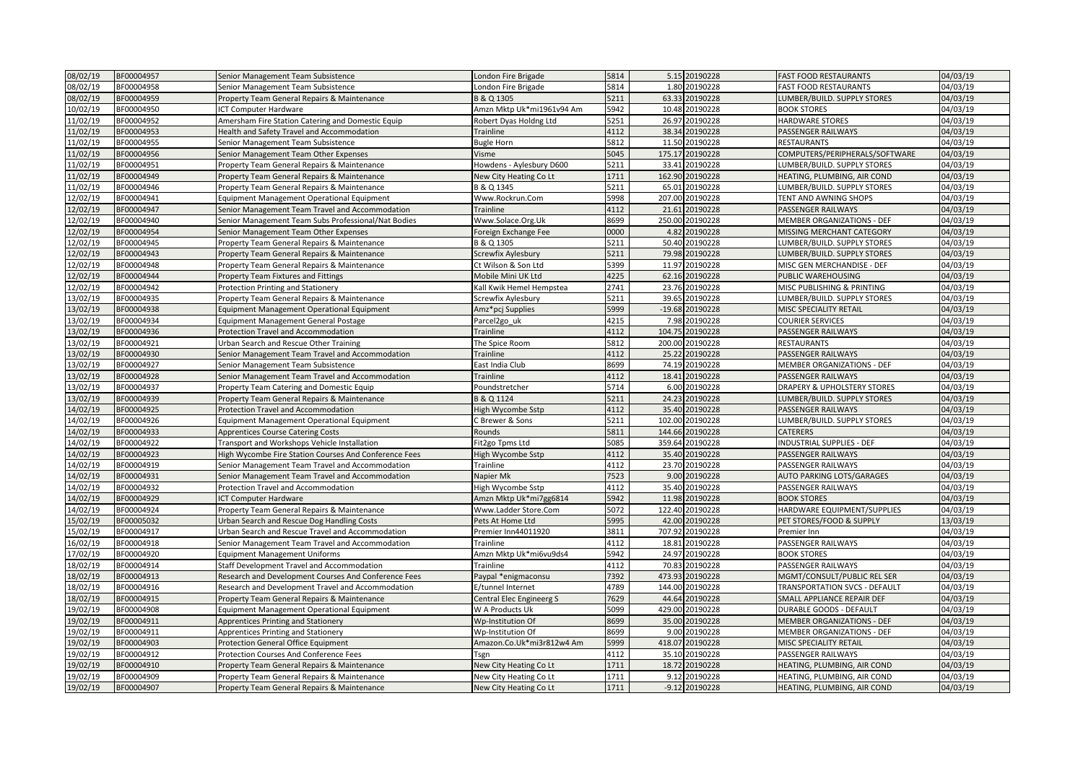| 08/02/19 | BF00004957 | Senior Management Team Subsistence                    | London Fire Brigade       | 5814 | 5.15 20190228      | <b>FAST FOOD RESTAURANTS</b>   | 04/03/19 |
|----------|------------|-------------------------------------------------------|---------------------------|------|--------------------|--------------------------------|----------|
| 08/02/19 | BF00004958 | Senior Management Team Subsistence                    | London Fire Brigade       | 5814 | 1.80 20190228      | <b>FAST FOOD RESTAURANTS</b>   | 04/03/19 |
| 08/02/19 | BF00004959 | Property Team General Repairs & Maintenance           | B & Q 1305                | 5211 | 63.33 20190228     | LUMBER/BUILD. SUPPLY STORES    | 04/03/19 |
| 10/02/19 | BF00004950 | ICT Computer Hardware                                 | Amzn Mktp Uk*mi1961v94 Am | 5942 | 10.48 20190228     | <b>BOOK STORES</b>             | 04/03/19 |
| 11/02/19 | BF00004952 | Amersham Fire Station Catering and Domestic Equip     | Robert Dyas Holdng Ltd    | 5251 | 26.97 20190228     | HARDWARE STORES                | 04/03/19 |
| 11/02/19 | BF00004953 | Health and Safety Travel and Accommodation            | Trainline                 | 4112 | 38.34 20190228     | PASSENGER RAILWAYS             | 04/03/19 |
| 11/02/19 | BF00004955 | Senior Management Team Subsistence                    | <b>Bugle Horn</b>         | 5812 | 11.50 20190228     | <b>RESTAURANTS</b>             | 04/03/19 |
| 11/02/19 | BF00004956 | Senior Management Team Other Expenses                 | Visme                     | 5045 | 175.17 20190228    | COMPUTERS/PERIPHERALS/SOFTWARE | 04/03/19 |
| 11/02/19 | BF00004951 | Property Team General Repairs & Maintenance           | Howdens - Aylesbury D600  | 5211 | 33.41<br>20190228  | LUMBER/BUILD. SUPPLY STORES    | 04/03/19 |
| 11/02/19 | BF00004949 | Property Team General Repairs & Maintenance           | New City Heating Co Lt    | 1711 | 162.90 20190228    | HEATING, PLUMBING, AIR COND    | 04/03/19 |
| 11/02/19 | BF00004946 | Property Team General Repairs & Maintenance           | B & Q 1345                | 5211 | 65.01 20190228     | LUMBER/BUILD. SUPPLY STORES    | 04/03/19 |
| 12/02/19 | BF00004941 | Equipment Management Operational Equipment            | Www.Rockrun.Com           | 5998 | 207.00<br>20190228 | TENT AND AWNING SHOPS          | 04/03/19 |
| 12/02/19 | BF00004947 | Senior Management Team Travel and Accommodation       | Trainline                 | 4112 | 21.61<br>20190228  | PASSENGER RAILWAYS             | 04/03/19 |
| 12/02/19 | BF00004940 | Senior Management Team Subs Professional/Nat Bodies   | Www.Solace.Org.Uk         | 8699 | 250.00 20190228    | MEMBER ORGANIZATIONS - DEF     | 04/03/19 |
| 12/02/19 | BF00004954 | Senior Management Team Other Expenses                 | Foreign Exchange Fee      | 0000 | 4.82<br>20190228   | MISSING MERCHANT CATEGORY      | 04/03/19 |
| 12/02/19 | BF00004945 | Property Team General Repairs & Maintenance           | B & Q 1305                | 5211 | 50.40 20190228     | LUMBER/BUILD. SUPPLY STORES    | 04/03/19 |
| 12/02/19 | BF00004943 | Property Team General Repairs & Maintenance           | Screwfix Aylesbury        | 5211 | 79.98 20190228     | LUMBER/BUILD. SUPPLY STORES    | 04/03/19 |
| 12/02/19 | BF00004948 | Property Team General Repairs & Maintenance           | Ct Wilson & Son Ltd       | 5399 | 11.97 20190228     | MISC GEN MERCHANDISE - DEF     | 04/03/19 |
| 12/02/19 | BF00004944 | Property Team Fixtures and Fittings                   | Mobile Mini UK Ltd        | 4225 | 62.16 20190228     | PUBLIC WAREHOUSING             | 04/03/19 |
| 12/02/19 | BF00004942 | Protection Printing and Stationery                    | Kall Kwik Hemel Hempstea  | 2741 | 23.76 20190228     | MISC PUBLISHING & PRINTING     | 04/03/19 |
| 13/02/19 | BF00004935 | Property Team General Repairs & Maintenance           | Screwfix Aylesbury        | 5211 | 39.65 20190228     | LUMBER/BUILD. SUPPLY STORES    | 04/03/19 |
| 13/02/19 | BF00004938 | Equipment Management Operational Equipment            | Amz*pcj Supplies          | 5999 | -19.68 20190228    | MISC SPECIALITY RETAIL         | 04/03/19 |
| 13/02/19 | BF00004934 | Equipment Management General Postage                  | Parcel2go uk              | 4215 | 7.98 20190228      | <b>COURIER SERVICES</b>        | 04/03/19 |
| 13/02/19 | BF00004936 | Protection Travel and Accommodation                   | Trainline                 | 4112 | 104.75<br>20190228 | PASSENGER RAILWAYS             | 04/03/19 |
| 13/02/19 | BF00004921 | Urban Search and Rescue Other Training                | The Spice Room            | 5812 | 200.00<br>20190228 | RESTAURANTS                    | 04/03/19 |
| 13/02/19 | BF00004930 | Senior Management Team Travel and Accommodation       | Trainline                 | 4112 | 25.22 20190228     | PASSENGER RAILWAYS             | 04/03/19 |
| 13/02/19 | BF00004927 | Senior Management Team Subsistence                    | East India Club           | 8699 | 74.19<br>20190228  | MEMBER ORGANIZATIONS - DEF     | 04/03/19 |
| 13/02/19 | BF00004928 | Senior Management Team Travel and Accommodation       | Trainline                 | 4112 | 18.41<br>20190228  | PASSENGER RAILWAYS             | 04/03/19 |
| 13/02/19 | BF00004937 | Property Team Catering and Domestic Equip             | Poundstretcher            | 5714 | 6.00 20190228      | DRAPERY & UPHOLSTERY STORES    | 04/03/19 |
| 13/02/19 | BF00004939 | Property Team General Repairs & Maintenance           | B & Q 1124                | 5211 | 24.23 20190228     | LUMBER/BUILD. SUPPLY STORES    | 04/03/19 |
| 14/02/19 | BF00004925 | Protection Travel and Accommodation                   | High Wycombe Sstp         | 4112 | 35.40 20190228     | PASSENGER RAILWAYS             | 04/03/19 |
| 14/02/19 | BF00004926 | Equipment Management Operational Equipment            | C Brewer & Sons           | 5211 | 102.00 20190228    | LUMBER/BUILD. SUPPLY STORES    | 04/03/19 |
| 14/02/19 | BF00004933 | <b>Apprentices Course Catering Costs</b>              | Rounds                    | 5811 | 144.66 20190228    | CATERERS                       | 04/03/19 |
| 14/02/19 | BF00004922 | Transport and Workshops Vehicle Installation          | Fit2go Tpms Ltd           | 5085 | 359.64<br>20190228 | INDUSTRIAL SUPPLIES - DEF      | 04/03/19 |
| 14/02/19 | BF00004923 | High Wycombe Fire Station Courses And Conference Fees | High Wycombe Sstp         | 4112 | 35.40 20190228     | PASSENGER RAILWAYS             | 04/03/19 |
| 14/02/19 | BF00004919 | Senior Management Team Travel and Accommodation       | Trainline                 | 4112 | 23.70 20190228     | PASSENGER RAILWAYS             | 04/03/19 |
| 14/02/19 | BF00004931 | Senior Management Team Travel and Accommodation       | Napier Mk                 | 7523 | 20190228<br>9.00   | AUTO PARKING LOTS/GARAGES      | 04/03/19 |
| 14/02/19 | BF00004932 | Protection Travel and Accommodation                   | High Wycombe Sstp         | 4112 | 35.40 20190228     | PASSENGER RAILWAYS             | 04/03/19 |
| 14/02/19 | BF00004929 | <b>ICT Computer Hardware</b>                          | Amzn Mktp Uk*mi7gg6814    | 5942 | 11.98<br>20190228  | <b>BOOK STORES</b>             | 04/03/19 |
| 14/02/19 | BF00004924 | Property Team General Repairs & Maintenance           | Www.Ladder Store.Com      | 5072 | 122.40 20190228    | HARDWARE EQUIPMENT/SUPPLIES    | 04/03/19 |
| 15/02/19 | BF00005032 | Urban Search and Rescue Dog Handling Costs            | Pets At Home Ltd          | 5995 | 42.00 20190228     | PET STORES/FOOD & SUPPLY       | 13/03/19 |
| 15/02/19 | BF00004917 | Urban Search and Rescue Travel and Accommodation      | Premier Inn44011920       | 3811 | 707.92<br>20190228 | Premier Inn                    | 04/03/19 |
| 16/02/19 | BF00004918 | Senior Management Team Travel and Accommodation       | Trainline                 | 4112 | 20190228<br>18.81  | PASSENGER RAILWAYS             | 04/03/19 |
| 17/02/19 | BF00004920 | <b>Equipment Management Uniforms</b>                  | Amzn Mktp Uk*mi6vu9ds4    | 5942 | 24.97 20190228     | <b>BOOK STORES</b>             | 04/03/19 |
| 18/02/19 | BF00004914 | Staff Development Travel and Accommodation            | Trainline                 | 4112 | 70.83<br>20190228  | PASSENGER RAILWAYS             | 04/03/19 |
| 18/02/19 | BF00004913 | Research and Development Courses And Conference Fees  | Paypal *enigmaconsu       | 7392 | 473.93 20190228    | MGMT/CONSULT/PUBLIC REL SER    | 04/03/19 |
| 18/02/19 | BF00004916 | Research and Development Travel and Accommodation     | E/tunnel Internet         | 4789 | 144.00<br>20190228 | TRANSPORTATION SVCS - DEFAULT  | 04/03/19 |
| 18/02/19 | BF00004915 | Property Team General Repairs & Maintenance           | Central Elec Engineerg S  | 7629 | 44.64 20190228     | SMALL APPLIANCE REPAIR DEF     | 04/03/19 |
| 19/02/19 | BF00004908 | Equipment Management Operational Equipment            | W A Products Uk           | 5099 | 429.00 20190228    | <b>DURABLE GOODS - DEFAULT</b> | 04/03/19 |
| 19/02/19 | BF00004911 | Apprentices Printing and Stationery                   | Wp-Institution Of         | 8699 | 35.00 20190228     | MEMBER ORGANIZATIONS - DEF     | 04/03/19 |
| 19/02/19 | BF00004911 | Apprentices Printing and Stationery                   | Wp-Institution Of         | 8699 | 9.00 20190228      | MEMBER ORGANIZATIONS - DEF     | 04/03/19 |
| 19/02/19 | BF00004903 | Protection General Office Equipment                   | Amazon.Co.Uk*mi3r812w4 Am | 5999 | 418.07 20190228    | MISC SPECIALITY RETAIL         | 04/03/19 |
| 19/02/19 | BF00004912 | <b>Protection Courses And Conference Fees</b>         | Tsgn                      | 4112 | 35.10 20190228     | PASSENGER RAILWAYS             | 04/03/19 |
| 19/02/19 | BF00004910 | Property Team General Repairs & Maintenance           | New City Heating Co Lt    | 1711 | 18.72 20190228     | HEATING, PLUMBING, AIR COND    | 04/03/19 |
| 19/02/19 | BF00004909 | Property Team General Repairs & Maintenance           | New City Heating Co Lt    | 1711 | 9.12 20190228      | HEATING, PLUMBING, AIR COND    | 04/03/19 |
| 19/02/19 | BF00004907 | Property Team General Repairs & Maintenance           | New City Heating Co Lt    | 1711 | -9.12 20190228     | HEATING, PLUMBING, AIR COND    | 04/03/19 |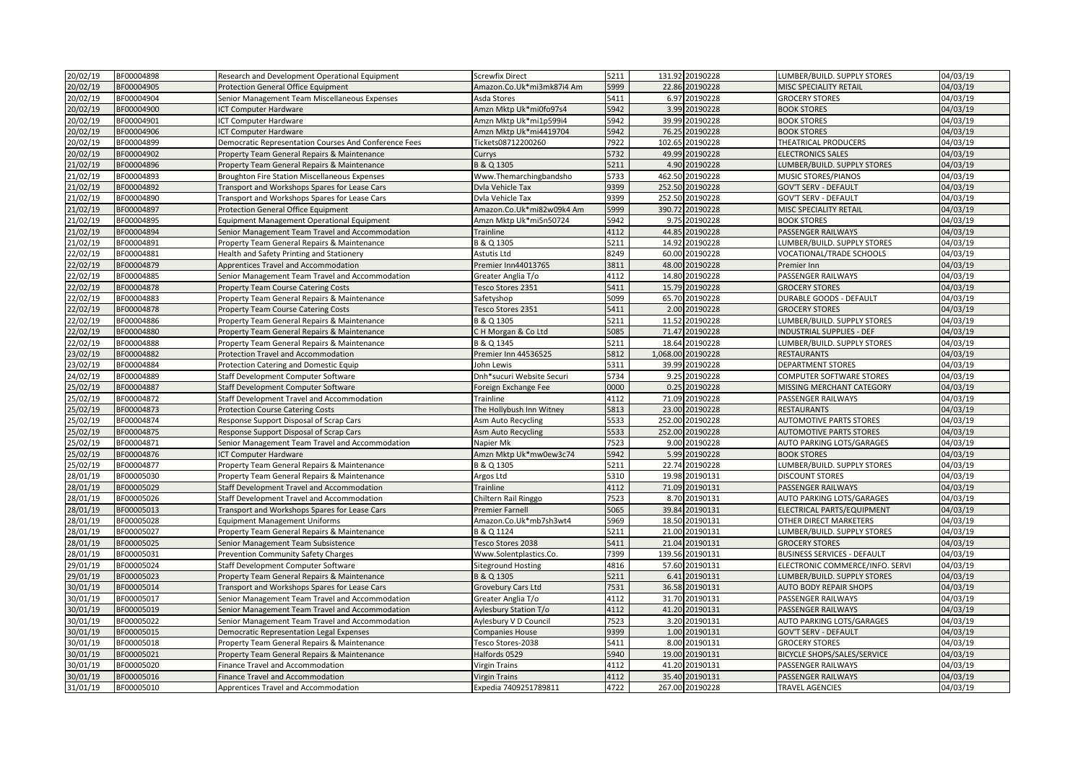| 20/02/19 | BF00004898 | Research and Development Operational Equipment        | <b>Screwfix Direct</b>    | 5211 | 131.92 20190228   | LUMBER/BUILD. SUPPLY STORES        | 04/03/19 |
|----------|------------|-------------------------------------------------------|---------------------------|------|-------------------|------------------------------------|----------|
| 20/02/19 | BF00004905 | Protection General Office Equipment                   | Amazon.Co.Uk*mi3mk87i4 Am | 5999 | 22.86 20190228    | MISC SPECIALITY RETAIL             | 04/03/19 |
| 20/02/19 | BF00004904 | Senior Management Team Miscellaneous Expenses         | Asda Stores               | 5411 | 6.97 20190228     | <b>GROCERY STORES</b>              | 04/03/19 |
| 20/02/19 | BF00004900 | <b>ICT Computer Hardware</b>                          | Amzn Mktp Uk*mi0fo97s4    | 5942 | 3.99 20190228     | <b>BOOK STORES</b>                 | 04/03/19 |
| 20/02/19 | BF00004901 | ICT Computer Hardware                                 | Amzn Mktp Uk*mi1p599i4    | 5942 | 39.99 20190228    | <b>BOOK STORES</b>                 | 04/03/19 |
| 20/02/19 | BF00004906 | <b>ICT Computer Hardware</b>                          | Amzn Mktp Uk*mi4419704    | 5942 | 76.25 20190228    | <b>BOOK STORES</b>                 | 04/03/19 |
| 20/02/19 | BF00004899 | Democratic Representation Courses And Conference Fees | Tickets08712200260        | 7922 | 102.65 20190228   | THEATRICAL PRODUCERS               | 04/03/19 |
| 20/02/19 | BF00004902 | Property Team General Repairs & Maintenance           | Currys                    | 5732 | 49.99 20190228    | <b>ELECTRONICS SALES</b>           | 04/03/19 |
| 21/02/19 | BF00004896 | Property Team General Repairs & Maintenance           | B & Q 1305                | 5211 | 4.90 20190228     | LUMBER/BUILD. SUPPLY STORES        | 04/03/19 |
| 21/02/19 | BF00004893 | <b>Broughton Fire Station Miscellaneous Expenses</b>  | Www.Themarchingbandsho    | 5733 | 462.50 20190228   | MUSIC STORES/PIANOS                | 04/03/19 |
| 21/02/19 | BF00004892 | Transport and Workshops Spares for Lease Cars         | Dvla Vehicle Tax          | 9399 | 252.50 20190228   | <b>GOV'T SERV - DEFAULT</b>        | 04/03/19 |
| 21/02/19 | BF00004890 | Transport and Workshops Spares for Lease Cars         | Dvla Vehicle Tax          | 9399 | 252.50 20190228   | <b>GOV'T SERV - DEFAULT</b>        | 04/03/19 |
| 21/02/19 | BF00004897 | <b>Protection General Office Equipment</b>            | Amazon.Co.Uk*mi82w09k4 Am | 5999 | 390.72 20190228   | MISC SPECIALITY RETAIL             | 04/03/19 |
| 21/02/19 | BF00004895 | <b>Equipment Management Operational Equipment</b>     | Amzn Mktp Uk*mi5n50724    | 5942 | 9.75 20190228     | <b>BOOK STORES</b>                 | 04/03/19 |
| 21/02/19 | BF00004894 | Senior Management Team Travel and Accommodation       | Trainline                 | 4112 | 44.85 20190228    | PASSENGER RAILWAYS                 | 04/03/19 |
| 21/02/19 | BF00004891 | Property Team General Repairs & Maintenance           | B & Q 1305                | 5211 | 14.92 20190228    | LUMBER/BUILD. SUPPLY STORES        | 04/03/19 |
| 22/02/19 | BF00004881 | Health and Safety Printing and Stationery             | Astutis Ltd               | 8249 | 60.00 20190228    | VOCATIONAL/TRADE SCHOOLS           | 04/03/19 |
| 22/02/19 | BF00004879 | Apprentices Travel and Accommodation                  | Premier Inn44013765       | 3811 | 48.00 20190228    | Premier Inn                        | 04/03/19 |
| 22/02/19 | BF00004885 | Senior Management Team Travel and Accommodation       | Greater Anglia T/o        | 4112 | 14.80 20190228    | PASSENGER RAILWAYS                 | 04/03/19 |
| 22/02/19 | BF00004878 | <b>Property Team Course Catering Costs</b>            | Tesco Stores 2351         | 5411 | 15.79 20190228    | <b>GROCERY STORES</b>              | 04/03/19 |
| 22/02/19 | BF00004883 | Property Team General Repairs & Maintenance           | Safetyshop                | 5099 | 65.70 20190228    | DURABLE GOODS - DEFAULT            | 04/03/19 |
| 22/02/19 | BF00004878 | <b>Property Team Course Catering Costs</b>            | Tesco Stores 2351         | 5411 | 2.00 20190228     | <b>GROCERY STORES</b>              | 04/03/19 |
| 22/02/19 | BF00004886 | Property Team General Repairs & Maintenance           | B & Q 1305                | 5211 | 11.52 20190228    | LUMBER/BUILD. SUPPLY STORES        | 04/03/19 |
| 22/02/19 | BF00004880 | Property Team General Repairs & Maintenance           | CH Morgan & Co Ltd        | 5085 | 71.47 20190228    | NDUSTRIAL SUPPLIES - DEF           | 04/03/19 |
| 22/02/19 | BF00004888 | Property Team General Repairs & Maintenance           | B & Q 1345                | 5211 | 18.64 20190228    | LUMBER/BUILD. SUPPLY STORES        | 04/03/19 |
| 23/02/19 | BF00004882 | Protection Travel and Accommodation                   | Premier Inn 44536525      | 5812 | 1,068.00 20190228 | RESTAURANTS                        | 04/03/19 |
| 23/02/19 | BF00004884 | <b>Protection Catering and Domestic Equip</b>         | John Lewis                | 5311 | 39.99 20190228    | DEPARTMENT STORES                  | 04/03/19 |
| 24/02/19 | BF00004889 | Staff Development Computer Software                   | Dnh*sucuri Website Securi | 5734 | 9.25 20190228     | COMPUTER SOFTWARE STORES           | 04/03/19 |
| 25/02/19 | BF00004887 | Staff Development Computer Software                   | Foreign Exchange Fee      | 0000 | 0.25 20190228     | MISSING MERCHANT CATEGORY          | 04/03/19 |
| 25/02/19 | BF00004872 | Staff Development Travel and Accommodation            | Trainline                 | 4112 | 71.09 20190228    | PASSENGER RAILWAYS                 | 04/03/19 |
| 25/02/19 | BF00004873 | <b>Protection Course Catering Costs</b>               | The Hollybush Inn Witney  | 5813 | 23.00 20190228    | <b>RESTAURANTS</b>                 | 04/03/19 |
| 25/02/19 | BF00004874 | Response Support Disposal of Scrap Cars               | Asm Auto Recycling        | 5533 | 252.00 20190228   | <b>AUTOMOTIVE PARTS STORES</b>     | 04/03/19 |
| 25/02/19 | BF00004875 | Response Support Disposal of Scrap Cars               | <b>Asm Auto Recycling</b> | 5533 | 252.00 20190228   | <b>AUTOMOTIVE PARTS STORES</b>     | 04/03/19 |
| 25/02/19 | BF00004871 | Senior Management Team Travel and Accommodation       | Napier Mk                 | 7523 | 9.00 20190228     | AUTO PARKING LOTS/GARAGES          | 04/03/19 |
| 25/02/19 | BF00004876 | ICT Computer Hardware                                 | Amzn Mktp Uk*mw0ew3c74    | 5942 | 5.99 20190228     | <b>BOOK STORES</b>                 | 04/03/19 |
| 25/02/19 | BF00004877 | Property Team General Repairs & Maintenance           | B & Q 1305                | 5211 | 22.74 20190228    | LUMBER/BUILD. SUPPLY STORES        | 04/03/19 |
| 28/01/19 | BF00005030 | Property Team General Repairs & Maintenance           | Argos Ltd                 | 5310 | 19.98 20190131    | <b>DISCOUNT STORES</b>             | 04/03/19 |
| 28/01/19 | BF00005029 | Staff Development Travel and Accommodation            | Trainline                 | 4112 | 71.09 20190131    | PASSENGER RAILWAYS                 | 04/03/19 |
| 28/01/19 | BF00005026 | Staff Development Travel and Accommodation            | Chiltern Rail Ringgo      | 7523 | 8.70 20190131     | AUTO PARKING LOTS/GARAGES          | 04/03/19 |
| 28/01/19 | BF00005013 | Transport and Workshops Spares for Lease Cars         | <b>Premier Farnell</b>    | 5065 | 39.84 20190131    | ELECTRICAL PARTS/EQUIPMENT         | 04/03/19 |
| 28/01/19 | BF00005028 | <b>Equipment Management Uniforms</b>                  | Amazon.Co.Uk*mb7sh3wt4    | 5969 | 18.50 20190131    | OTHER DIRECT MARKETERS             | 04/03/19 |
| 28/01/19 | BF00005027 | Property Team General Repairs & Maintenance           | B & Q 1124                | 5211 | 21.00 20190131    | LUMBER/BUILD. SUPPLY STORES        | 04/03/19 |
| 28/01/19 | BF00005025 | Senior Management Team Subsistence                    | Tesco Stores 2038         | 5411 | 21.04 20190131    | <b>GROCERY STORES</b>              | 04/03/19 |
| 28/01/19 | BF00005031 | <b>Prevention Community Safety Charges</b>            | Www.Solentplastics.Co.    | 7399 | 139.56 20190131   | <b>BUSINESS SERVICES - DEFAULT</b> | 04/03/19 |
| 29/01/19 | BF00005024 | Staff Development Computer Software                   | <b>Siteground Hosting</b> | 4816 | 57.60 20190131    | ELECTRONIC COMMERCE/INFO. SERVI    | 04/03/19 |
| 29/01/19 | BF00005023 | Property Team General Repairs & Maintenance           | B & Q 1305                | 5211 | 6.41 20190131     | LUMBER/BUILD. SUPPLY STORES        | 04/03/19 |
| 30/01/19 | BF00005014 | Transport and Workshops Spares for Lease Cars         | Grovebury Cars Ltd        | 7531 | 36.58 20190131    | <b>AUTO BODY REPAIR SHOPS</b>      | 04/03/19 |
| 30/01/19 | BF00005017 | Senior Management Team Travel and Accommodation       | Greater Anglia T/o        | 4112 | 31.70 20190131    | PASSENGER RAILWAYS                 | 04/03/19 |
| 30/01/19 | BF00005019 | Senior Management Team Travel and Accommodation       | Aylesbury Station T/o     | 4112 | 41.20 20190131    | PASSENGER RAILWAYS                 | 04/03/19 |
| 30/01/19 | BF00005022 | Senior Management Team Travel and Accommodation       | Aylesbury V D Council     | 7523 | 3.20 20190131     | AUTO PARKING LOTS/GARAGES          | 04/03/19 |
| 30/01/19 | BF00005015 | Democratic Representation Legal Expenses              | Companies House           | 9399 | 1.00 20190131     | GOV'T SERV - DEFAULT               | 04/03/19 |
| 30/01/19 | BF00005018 | Property Team General Repairs & Maintenance           | Tesco Stores-2038         | 5411 | 8.00 20190131     | <b>GROCERY STORES</b>              | 04/03/19 |
| 30/01/19 | BF00005021 | Property Team General Repairs & Maintenance           | Halfords 0529             | 5940 | 19.00 20190131    | BICYCLE SHOPS/SALES/SERVICE        | 04/03/19 |
| 30/01/19 | BF00005020 | Finance Travel and Accommodation                      | <b>Virgin Trains</b>      | 4112 | 41.20 20190131    | PASSENGER RAILWAYS                 | 04/03/19 |
| 30/01/19 | BF00005016 | <b>Finance Travel and Accommodation</b>               | <b>Virgin Trains</b>      | 4112 | 35.40 20190131    | PASSENGER RAILWAYS                 | 04/03/19 |
| 31/01/19 | BF00005010 | Apprentices Travel and Accommodation                  | Expedia 7409251789811     | 4722 | 267.00 20190228   | <b>TRAVEL AGENCIES</b>             | 04/03/19 |
|          |            |                                                       |                           |      |                   |                                    |          |